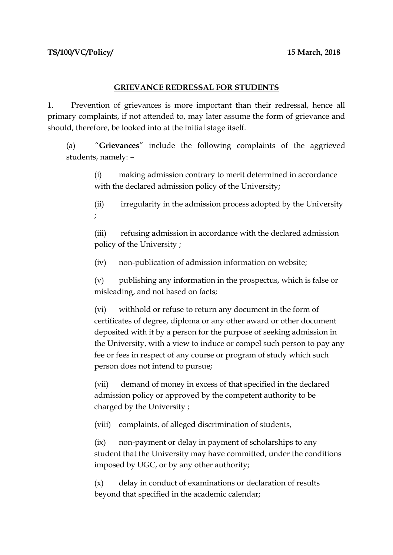## **GRIEVANCE REDRESSAL FOR STUDENTS**

1. Prevention of grievances is more important than their redressal, hence all primary complaints, if not attended to, may later assume the form of grievance and should, therefore, be looked into at the initial stage itself.

(a) "**Grievances**" include the following complaints of the aggrieved students, namely: –

(i) making admission contrary to merit determined in accordance with the declared admission policy of the University;

(ii) irregularity in the admission process adopted by the University ;

(iii) refusing admission in accordance with the declared admission policy of the University ;

(iv) non-publication of admission information on website;

(v) publishing any information in the prospectus, which is false or misleading, and not based on facts;

(vi) withhold or refuse to return any document in the form of certificates of degree, diploma or any other award or other document deposited with it by a person for the purpose of seeking admission in the University, with a view to induce or compel such person to pay any fee or fees in respect of any course or program of study which such person does not intend to pursue;

(vii) demand of money in excess of that specified in the declared admission policy or approved by the competent authority to be charged by the University ;

(viii) complaints, of alleged discrimination of students,

(ix) non-payment or delay in payment of scholarships to any student that the University may have committed, under the conditions imposed by UGC, or by any other authority;

(x) delay in conduct of examinations or declaration of results beyond that specified in the academic calendar;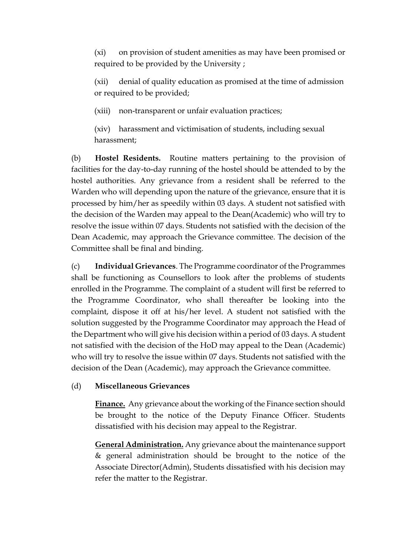(xi) on provision of student amenities as may have been promised or required to be provided by the University ;

(xii) denial of quality education as promised at the time of admission or required to be provided;

(xiii) non-transparent or unfair evaluation practices;

(xiv) harassment and victimisation of students, including sexual harassment;

(b) **Hostel Residents.** Routine matters pertaining to the provision of facilities for the day-to-day running of the hostel should be attended to by the hostel authorities. Any grievance from a resident shall be referred to the Warden who will depending upon the nature of the grievance, ensure that it is processed by him/her as speedily within 03 days. A student not satisfied with the decision of the Warden may appeal to the Dean(Academic) who will try to resolve the issue within 07 days. Students not satisfied with the decision of the Dean Academic, may approach the Grievance committee. The decision of the Committee shall be final and binding.

(c) **Individual Grievances**. The Programme coordinator of the Programmes shall be functioning as Counsellors to look after the problems of students enrolled in the Programme. The complaint of a student will first be referred to the Programme Coordinator, who shall thereafter be looking into the complaint, dispose it off at his/her level. A student not satisfied with the solution suggested by the Programme Coordinator may approach the Head of the Department who will give his decision within a period of 03 days. A student not satisfied with the decision of the HoD may appeal to the Dean (Academic) who will try to resolve the issue within 07 days. Students not satisfied with the decision of the Dean (Academic), may approach the Grievance committee.

## (d) **Miscellaneous Grievances**

**Finance.** Any grievance about the working of the Finance section should be brought to the notice of the Deputy Finance Officer. Students dissatisfied with his decision may appeal to the Registrar.

**General Administration.** Any grievance about the maintenance support & general administration should be brought to the notice of the Associate Director(Admin), Students dissatisfied with his decision may refer the matter to the Registrar.